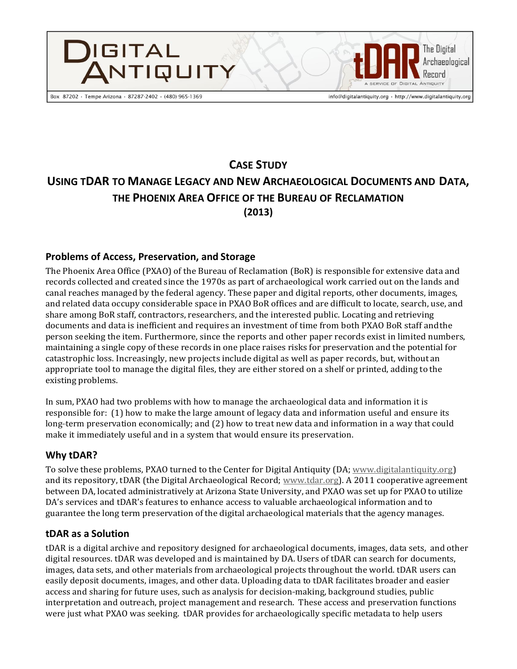

# **CASE STUDY USING TDAR TO MANAGE LEGACY AND NEW ARCHAEOLOGICAL DOCUMENTS AND DATA, THE PHOENIX AREA OFFICE OF THE BUREAU OF RECLAMATION (2013)**

## **Problems of Access, Preservation, and Storage**

The Phoenix Area Office (PXAO) of the Bureau of Reclamation (BoR) is responsible for extensive data and records collected and created since the 1970s as part of archaeological work carried out on the lands and canal reaches managed by the federal agency. These paper and digital reports, other documents, images, and related data occupy considerable space in PXAO BoR offices and are difficult to locate, search, use, and share among BoR staff, contractors, researchers, and the interested public. Locating and retrieving documents and data is inefficient and requires an investment of time from both PXAO BoR staff andthe person seeking the item. Furthermore, since the reports and other paper records exist in limited numbers, maintaining a single copy of these records in one place raises risks for preservation and the potential for catastrophic loss. Increasingly, new projects include digital as well as paper records, but, without an appropriate tool to manage the digital files, they are either stored on a shelf or printed, adding to the existing problems.

In sum, PXAO had two problems with how to manage the archaeological data and information it is responsible for: (1) how to make the large amount of legacy data and information useful and ensure its long-term preservation economically; and (2) how to treat new data and information in a way that could make it immediately useful and in a system that would ensure its preservation.

## **Why tDAR?**

To solve these problems, PXAO turned to the Center for Digital Antiquity (DA; www.digitalantiquity.org) and its repository, tDAR (the Digital Archaeological Record; www.tdar.org). A 2011 cooperative agreement between DA, located administratively at Arizona State University, and PXAO was set up for PXAO to utilize DA's services and tDAR's features to enhance access to valuable archaeological information and to guarantee the long term preservation of the digital archaeological materials that the agency manages.

### **tDAR as a Solution**

tDAR is a digital archive and repository designed for archaeological documents, images, data sets, and other digital resources. tDAR was developed and is maintained by DA. Users of tDAR can search for documents, images, data sets, and other materials from archaeological projects throughout the world. tDAR users can easily deposit documents, images, and other data. Uploading data to tDAR facilitates broader and easier access and sharing for future uses, such as analysis for decision-making, background studies, public interpretation and outreach, project management and research. These access and preservation functions were just what PXAO was seeking. tDAR provides for archaeologically specific metadata to help users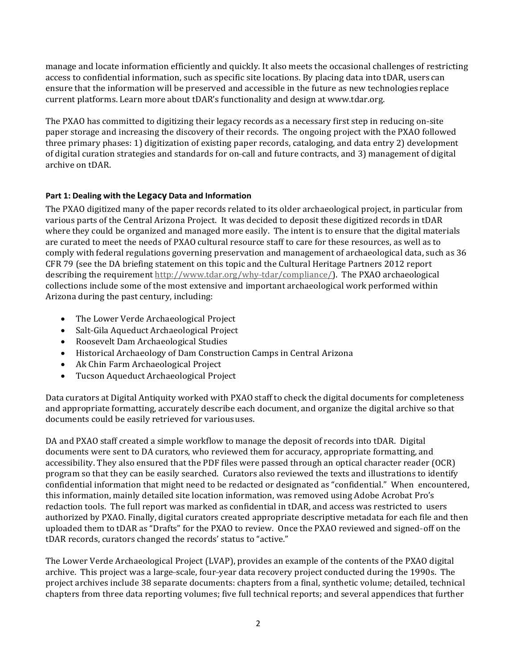manage and locate information efficiently and quickly. It also meets the occasional challenges of restricting access to confidential information, such as specific site locations. By placing data into tDAR, users can ensure that the information will be preserved and accessible in the future as new technologies replace current platforms. Learn more about tDAR's functionality and design at [www.tdar.org.](http://www.tdar.org/)

The PXAO has committed to digitizing their legacy records as a necessary first step in reducing on-site paper storage and increasing the discovery of their records. The ongoing project with the PXAO followed three primary phases: 1) digitization of existing paper records, cataloging, and data entry 2) development of digital curation strategies and standards for on-call and future contracts, and 3) management of digital archive on tDAR.

### **Part 1: Dealing with the Legacy Data and Information**

The PXAO digitized many of the paper records related to its older archaeological project, in particular from various parts of the Central Arizona Project. It was decided to deposit these digitized records in tDAR where they could be organized and managed more easily. The intent is to ensure that the digital materials are curated to meet the needs of PXAO cultural resource staff to care for these resources, as well as to comply with federal regulations governing preservation and management of archaeological data, such as 36 CFR 79 (see the DA briefing statement on this topic and the Cultural Heritage Partners 2012 report describing the requirement http://www.tdar.org/why-tdar/compliance/). The PXAO archaeological collections include some of the most extensive and important archaeological work performed within Arizona during the past century, including:

- The Lower Verde Archaeological Project
- Salt-Gila Aqueduct Archaeological Project
- Roosevelt Dam Archaeological Studies
- Historical Archaeology of Dam Construction Camps in Central Arizona
- Ak Chin Farm Archaeological Project
- Tucson Aqueduct Archaeological Project

Data curators at Digital Antiquity worked with PXAO staff to check the digital documents for completeness and appropriate formatting, accurately describe each document, and organize the digital archive so that documents could be easily retrieved for varioususes.

DA and PXAO staff created a simple workflow to manage the deposit of records into tDAR. Digital documents were sent to DA curators, who reviewed them for accuracy, appropriate formatting, and accessibility. They also ensured that the PDF files were passed through an optical character reader (OCR) program so that they can be easily searched. Curators also reviewed the texts and illustrations to identify confidential information that might need to be redacted or designated as "confidential." When encountered, this information, mainly detailed site location information, was removed using Adobe Acrobat Pro's redaction tools. The full report was marked as confidential in tDAR, and access was restricted to users authorized by PXAO. Finally, digital curators created appropriate descriptive metadata for each file and then uploaded them to tDAR as "Drafts" for the PXAO to review. Once the PXAO reviewed and signed-off on the tDAR records, curators changed the records' status to "active."

The Lower Verde Archaeological Project (LVAP), provides an example of the contents of the PXAO digital archive. This project was a large-scale, four-year data recovery project conducted during the 1990s. The project archives include 38 separate documents: chapters from a final, synthetic volume; detailed, technical chapters from three data reporting volumes; five full technical reports; and several appendices that further